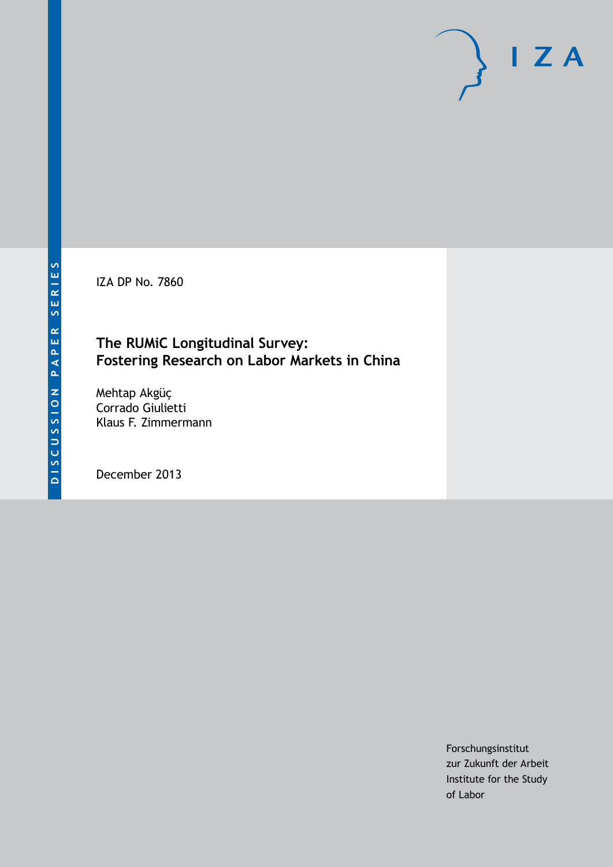IZA DP No. 7860

## **The RUMiC Longitudinal Survey: Fostering Research on Labor Markets in China**

Mehtap Akgüç Corrado Giulietti Klaus F. Zimmermann

December 2013

Forschungsinstitut zur Zukunft der Arbeit Institute for the Study of Labor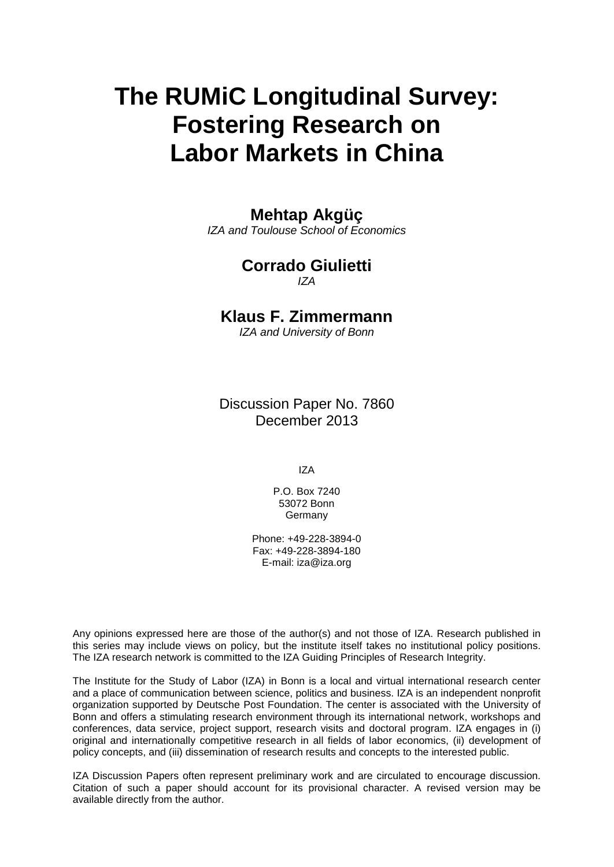# **The RUMiC Longitudinal Survey: Fostering Research on Labor Markets in China**

### **Mehtap Akgüç**

*IZA and Toulouse School of Economics*

# **Corrado Giulietti**

*IZA*

### **Klaus F. Zimmermann**

*IZA and University of Bonn*

Discussion Paper No. 7860 December 2013

IZA

P.O. Box 7240 53072 Bonn Germany

Phone: +49-228-3894-0 Fax: +49-228-3894-180 E-mail: [iza@iza.org](mailto:iza@iza.org)

Any opinions expressed here are those of the author(s) and not those of IZA. Research published in this series may include views on policy, but the institute itself takes no institutional policy positions. The IZA research network is committed to the IZA Guiding Principles of Research Integrity.

The Institute for the Study of Labor (IZA) in Bonn is a local and virtual international research center and a place of communication between science, politics and business. IZA is an independent nonprofit organization supported by Deutsche Post Foundation. The center is associated with the University of Bonn and offers a stimulating research environment through its international network, workshops and conferences, data service, project support, research visits and doctoral program. IZA engages in (i) original and internationally competitive research in all fields of labor economics, (ii) development of policy concepts, and (iii) dissemination of research results and concepts to the interested public.

<span id="page-1-0"></span>IZA Discussion Papers often represent preliminary work and are circulated to encourage discussion. Citation of such a paper should account for its provisional character. A revised version may be available directly from the author.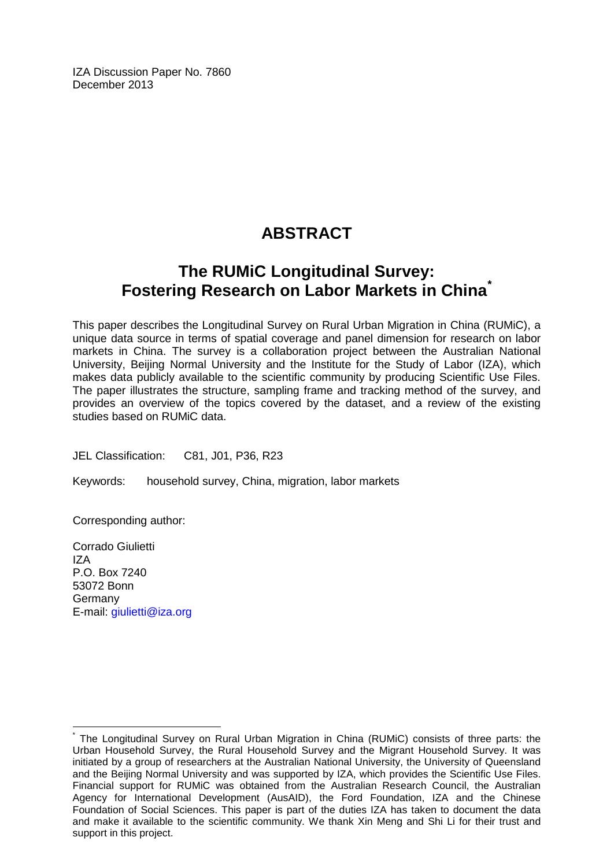IZA Discussion Paper No. 7860 December 2013

# **ABSTRACT**

## **The RUMiC Longitudinal Survey: Fostering Research on Labor Markets in China[\\*](#page-1-0)**

This paper describes the Longitudinal Survey on Rural Urban Migration in China (RUMiC), a unique data source in terms of spatial coverage and panel dimension for research on labor markets in China. The survey is a collaboration project between the Australian National University, Beijing Normal University and the Institute for the Study of Labor (IZA), which makes data publicly available to the scientific community by producing Scientific Use Files. The paper illustrates the structure, sampling frame and tracking method of the survey, and provides an overview of the topics covered by the dataset, and a review of the existing studies based on RUMiC data.

JEL Classification: C81, J01, P36, R23

Keywords: household survey, China, migration, labor markets

Corresponding author:

Corrado Giulietti IZA P.O. Box 7240 53072 Bonn Germany E-mail: [giulietti@iza.org](mailto:giulietti@iza.org)

The Longitudinal Survey on Rural Urban Migration in China (RUMiC) consists of three parts: the Urban Household Survey, the Rural Household Survey and the Migrant Household Survey. It was initiated by a group of researchers at the Australian National University, the University of Queensland and the Beijing Normal University and was supported by IZA, which provides the Scientific Use Files. Financial support for RUMiC was obtained from the Australian Research Council, the Australian Agency for International Development (AusAID), the Ford Foundation, IZA and the Chinese Foundation of Social Sciences. This paper is part of the duties IZA has taken to document the data and make it available to the scientific community. We thank Xin Meng and Shi Li for their trust and support in this project.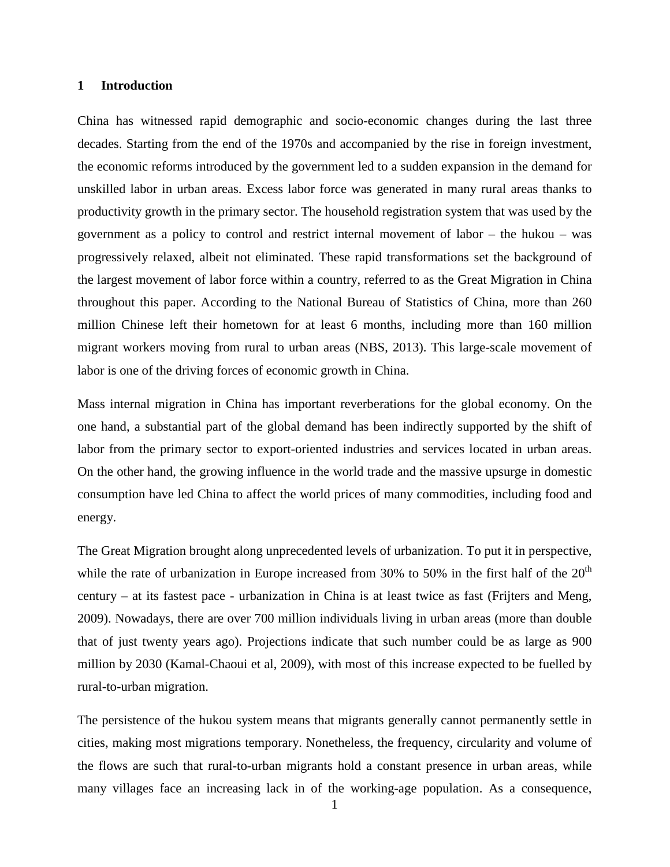#### **1 Introduction**

China has witnessed rapid demographic and socio-economic changes during the last three decades. Starting from the end of the 1970s and accompanied by the rise in foreign investment, the economic reforms introduced by the government led to a sudden expansion in the demand for unskilled labor in urban areas. Excess labor force was generated in many rural areas thanks to productivity growth in the primary sector. The household registration system that was used by the government as a policy to control and restrict internal movement of labor – the hukou – was progressively relaxed, albeit not eliminated. These rapid transformations set the background of the largest movement of labor force within a country, referred to as the Great Migration in China throughout this paper. According to the National Bureau of Statistics of China, more than 260 million Chinese left their hometown for at least 6 months, including more than 160 million migrant workers moving from rural to urban areas (NBS, 2013). This large-scale movement of labor is one of the driving forces of economic growth in China.

Mass internal migration in China has important reverberations for the global economy. On the one hand, a substantial part of the global demand has been indirectly supported by the shift of labor from the primary sector to export-oriented industries and services located in urban areas. On the other hand, the growing influence in the world trade and the massive upsurge in domestic consumption have led China to affect the world prices of many commodities, including food and energy.

The Great Migration brought along unprecedented levels of urbanization. To put it in perspective, while the rate of urbanization in Europe increased from 30% to 50% in the first half of the  $20<sup>th</sup>$ century – at its fastest pace - urbanization in China is at least twice as fast (Frijters and Meng, 2009). Nowadays, there are over 700 million individuals living in urban areas (more than double that of just twenty years ago). Projections indicate that such number could be as large as 900 million by 2030 (Kamal-Chaoui et al, 2009), with most of this increase expected to be fuelled by rural-to-urban migration.

The persistence of the hukou system means that migrants generally cannot permanently settle in cities, making most migrations temporary. Nonetheless, the frequency, circularity and volume of the flows are such that rural-to-urban migrants hold a constant presence in urban areas, while many villages face an increasing lack in of the working-age population. As a consequence,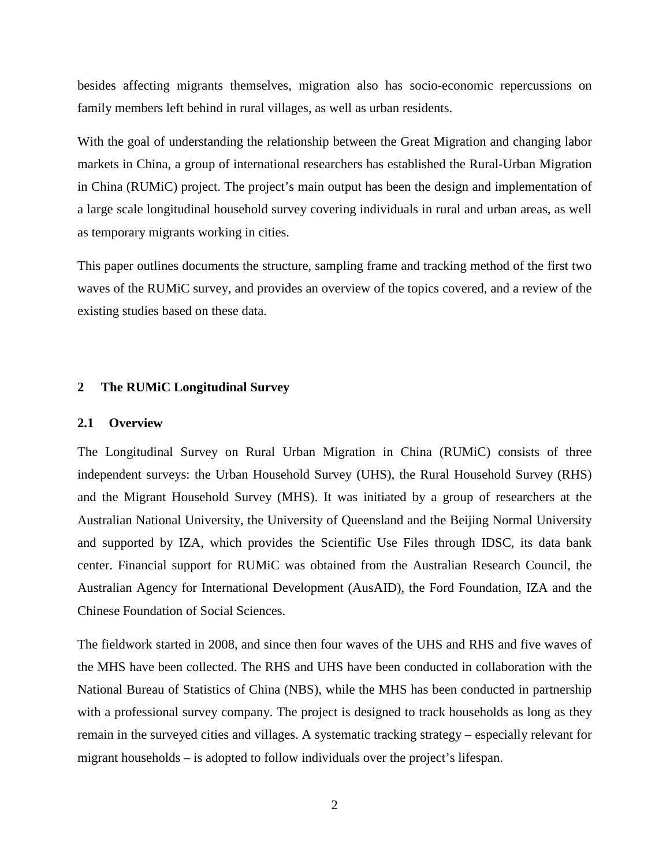besides affecting migrants themselves, migration also has socio-economic repercussions on family members left behind in rural villages, as well as urban residents.

With the goal of understanding the relationship between the Great Migration and changing labor markets in China, a group of international researchers has established the Rural-Urban Migration in China (RUMiC) project. The project's main output has been the design and implementation of a large scale longitudinal household survey covering individuals in rural and urban areas, as well as temporary migrants working in cities.

This paper outlines documents the structure, sampling frame and tracking method of the first two waves of the RUMiC survey, and provides an overview of the topics covered, and a review of the existing studies based on these data.

#### **2 The RUMiC Longitudinal Survey**

#### **2.1 Overview**

The Longitudinal Survey on Rural Urban Migration in China (RUMiC) consists of three independent surveys: the Urban Household Survey (UHS), the Rural Household Survey (RHS) and the Migrant Household Survey (MHS). It was initiated by a group of researchers at the Australian National University, the University of Queensland and the Beijing Normal University and supported by IZA, which provides the Scientific Use Files through IDSC, its data bank center. Financial support for RUMiC was obtained from the Australian Research Council, the Australian Agency for International Development (AusAID), the Ford Foundation, IZA and the Chinese Foundation of Social Sciences.

The fieldwork started in 2008, and since then four waves of the UHS and RHS and five waves of the MHS have been collected. The RHS and UHS have been conducted in collaboration with the National Bureau of Statistics of China (NBS), while the MHS has been conducted in partnership with a professional survey company. The project is designed to track households as long as they remain in the surveyed cities and villages. A systematic tracking strategy – especially relevant for migrant households – is adopted to follow individuals over the project's lifespan.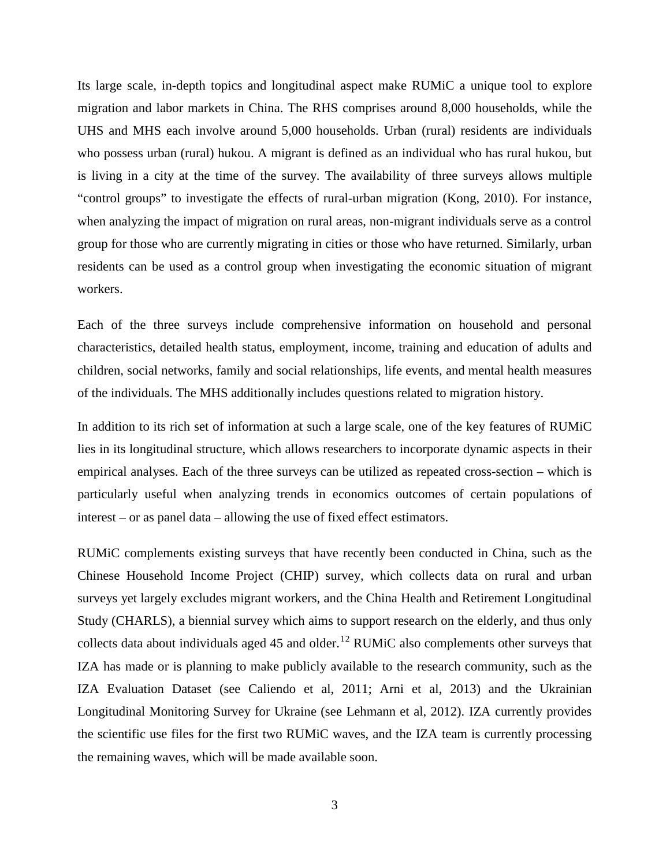Its large scale, in-depth topics and longitudinal aspect make RUMiC a unique tool to explore migration and labor markets in China. The RHS comprises around 8,000 households, while the UHS and MHS each involve around 5,000 households. Urban (rural) residents are individuals who possess urban (rural) hukou. A migrant is defined as an individual who has rural hukou, but is living in a city at the time of the survey. The availability of three surveys allows multiple "control groups" to investigate the effects of rural-urban migration (Kong, 2010). For instance, when analyzing the impact of migration on rural areas, non-migrant individuals serve as a control group for those who are currently migrating in cities or those who have returned. Similarly, urban residents can be used as a control group when investigating the economic situation of migrant workers.

Each of the three surveys include comprehensive information on household and personal characteristics, detailed health status, employment, income, training and education of adults and children, social networks, family and social relationships, life events, and mental health measures of the individuals. The MHS additionally includes questions related to migration history.

In addition to its rich set of information at such a large scale, one of the key features of RUMiC lies in its longitudinal structure, which allows researchers to incorporate dynamic aspects in their empirical analyses. Each of the three surveys can be utilized as repeated cross-section – which is particularly useful when analyzing trends in economics outcomes of certain populations of interest – or as panel data – allowing the use of fixed effect estimators.

RUMiC complements existing surveys that have recently been conducted in China, such as the Chinese Household Income Project (CHIP) survey, which collects data on rural and urban surveys yet largely excludes migrant workers, and the China Health and Retirement Longitudinal Study (CHARLS), a biennial survey which aims to support research on the elderly, and thus only collects data about individuals aged  $45$  and older.<sup>[1](#page-9-0)[2](#page-9-1)</sup> RUMiC also complements other surveys that IZA has made or is planning to make publicly available to the research community, such as the IZA Evaluation Dataset (see Caliendo et al, 2011; Arni et al, 2013) and the Ukrainian Longitudinal Monitoring Survey for Ukraine (see Lehmann et al, 2012). IZA currently provides the scientific use files for the first two RUMiC waves, and the IZA team is currently processing the remaining waves, which will be made available soon.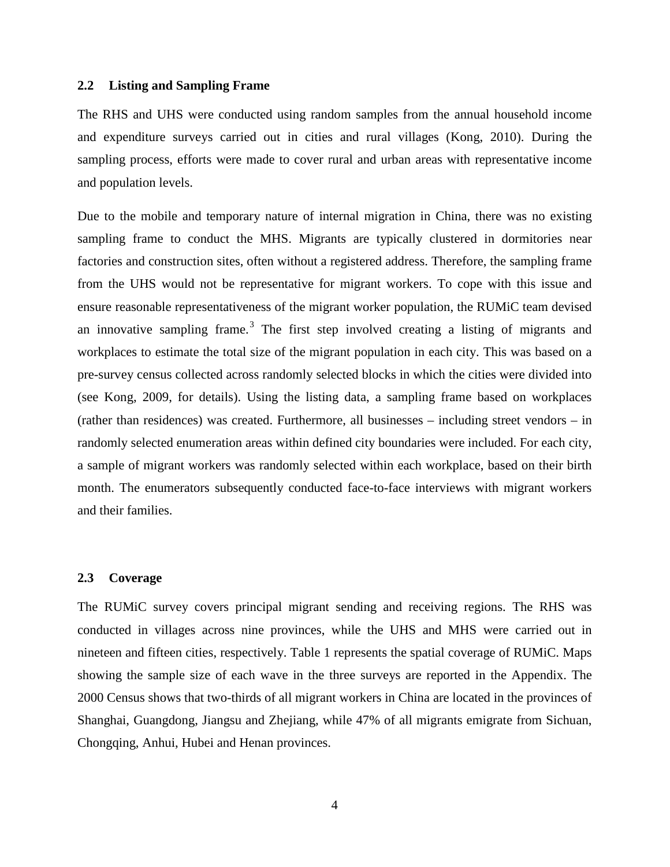#### **2.2 Listing and Sampling Frame**

The RHS and UHS were conducted using random samples from the annual household income and expenditure surveys carried out in cities and rural villages (Kong, 2010). During the sampling process, efforts were made to cover rural and urban areas with representative income and population levels.

Due to the mobile and temporary nature of internal migration in China, there was no existing sampling frame to conduct the MHS. Migrants are typically clustered in dormitories near factories and construction sites, often without a registered address. Therefore, the sampling frame from the UHS would not be representative for migrant workers. To cope with this issue and ensure reasonable representativeness of the migrant worker population, the RUMiC team devised an innovative sampling frame.<sup>[3](#page-9-2)</sup> The first step involved creating a listing of migrants and workplaces to estimate the total size of the migrant population in each city. This was based on a pre-survey census collected across randomly selected blocks in which the cities were divided into (see Kong, 2009, for details). Using the listing data, a sampling frame based on workplaces (rather than residences) was created. Furthermore, all businesses – including street vendors – in randomly selected enumeration areas within defined city boundaries were included. For each city, a sample of migrant workers was randomly selected within each workplace, based on their birth month. The enumerators subsequently conducted face-to-face interviews with migrant workers and their families.

#### **2.3 Coverage**

The RUMiC survey covers principal migrant sending and receiving regions. The RHS was conducted in villages across nine provinces, while the UHS and MHS were carried out in nineteen and fifteen cities, respectively. [Table 1](#page-7-0) represents the spatial coverage of RUMiC. Maps showing the sample size of each wave in the three surveys are reported in the Appendix. The 2000 Census shows that two-thirds of all migrant workers in China are located in the provinces of Shanghai, Guangdong, Jiangsu and Zhejiang, while 47% of all migrants emigrate from Sichuan, Chongqing, Anhui, Hubei and Henan provinces.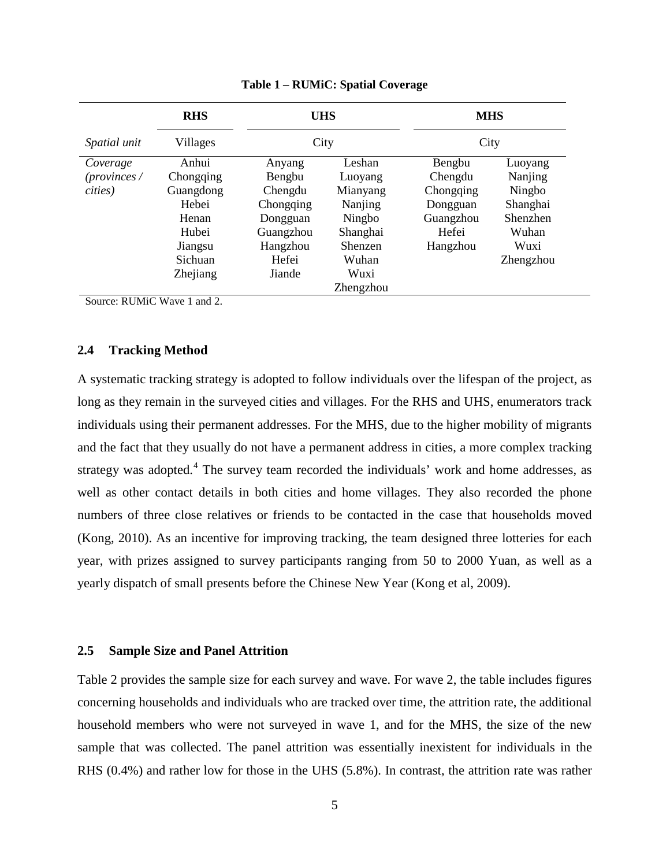<span id="page-7-0"></span>

|              | <b>RHS</b> | <b>UHS</b> |                |           | <b>MHS</b> |
|--------------|------------|------------|----------------|-----------|------------|
| Spatial unit | Villages   | City       |                | City      |            |
| Coverage     | Anhui      | Anyang     | Leshan         | Bengbu    | Luoyang    |
| (proviness / | Chongqing  | Bengbu     | Luoyang        | Chengdu   | Nanjing    |
| cities)      | Guangdong  | Chengdu    | Mianyang       | Chongqing | Ningbo     |
|              | Hebei      | Chongqing  | Nanjing        | Dongguan  | Shanghai   |
|              | Henan      | Dongguan   | Ningbo         | Guangzhou | Shenzhen   |
|              | Hubei      | Guangzhou  | Shanghai       | Hefei     | Wuhan      |
|              | Jiangsu    | Hangzhou   | <b>Shenzen</b> | Hangzhou  | Wuxi       |
|              | Sichuan    | Hefei      | Wuhan          |           | Zhengzhou  |
|              | Zhejiang   | Jiande     | Wuxi           |           |            |
|              |            |            | Zhengzhou      |           |            |

**Table 1 – RUMiC: Spatial Coverage**

Source: RUMiC Wave 1 and 2.

#### **2.4 Tracking Method**

A systematic tracking strategy is adopted to follow individuals over the lifespan of the project, as long as they remain in the surveyed cities and villages. For the RHS and UHS, enumerators track individuals using their permanent addresses. For the MHS, due to the higher mobility of migrants and the fact that they usually do not have a permanent address in cities, a more complex tracking strategy was adopted.<sup>[4](#page-9-3)</sup> The survey team recorded the individuals' work and home addresses, as well as other contact details in both cities and home villages. They also recorded the phone numbers of three close relatives or friends to be contacted in the case that households moved (Kong, 2010). As an incentive for improving tracking, the team designed three lotteries for each year, with prizes assigned to survey participants ranging from 50 to 2000 Yuan, as well as a yearly dispatch of small presents before the Chinese New Year (Kong et al, 2009).

#### **2.5 Sample Size and Panel Attrition**

[Table 2](#page-8-0) provides the sample size for each survey and wave. For wave 2, the table includes figures concerning households and individuals who are tracked over time, the attrition rate, the additional household members who were not surveyed in wave 1, and for the MHS, the size of the new sample that was collected. The panel attrition was essentially inexistent for individuals in the RHS (0.4%) and rather low for those in the UHS (5.8%). In contrast, the attrition rate was rather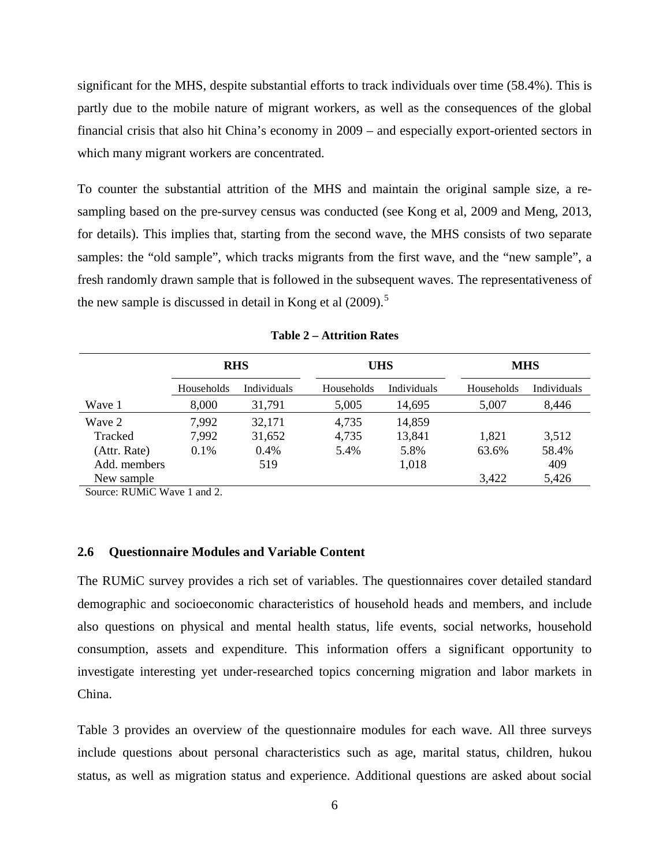significant for the MHS, despite substantial efforts to track individuals over time (58.4%). This is partly due to the mobile nature of migrant workers, as well as the consequences of the global financial crisis that also hit China's economy in 2009 – and especially export-oriented sectors in which many migrant workers are concentrated.

To counter the substantial attrition of the MHS and maintain the original sample size, a resampling based on the pre-survey census was conducted (see Kong et al, 2009 and Meng, 2013, for details). This implies that, starting from the second wave, the MHS consists of two separate samples: the "old sample", which tracks migrants from the first wave, and the "new sample", a fresh randomly drawn sample that is followed in the subsequent waves. The representativeness of the new sample is discussed in detail in Kong et al (2009).<sup>[5](#page-9-4)</sup>

<span id="page-8-0"></span>

|              |            | <b>RHS</b>  |            | <b>UHS</b>  |            | <b>MHS</b>  |
|--------------|------------|-------------|------------|-------------|------------|-------------|
|              | Households | Individuals | Households | Individuals | Households | Individuals |
| Wave 1       | 8,000      | 31,791      | 5,005      | 14,695      | 5,007      | 8,446       |
| Wave 2       | 7,992      | 32,171      | 4,735      | 14,859      |            |             |
| Tracked      | 7,992      | 31,652      | 4,735      | 13,841      | 1,821      | 3,512       |
| (Attr. Rate) | 0.1%       | $0.4\%$     | 5.4%       | 5.8%        | 63.6%      | 58.4%       |
| Add. members |            | 519         |            | 1,018       |            | 409         |
| New sample   |            |             |            |             | 3,422      | 5,426       |

**Table 2 – Attrition Rates**

Source: RUMiC Wave 1 and 2.

#### **2.6 Questionnaire Modules and Variable Content**

The RUMiC survey provides a rich set of variables. The questionnaires cover detailed standard demographic and socioeconomic characteristics of household heads and members, and include also questions on physical and mental health status, life events, social networks, household consumption, assets and expenditure. This information offers a significant opportunity to investigate interesting yet under-researched topics concerning migration and labor markets in China.

[Table 3](#page-10-0) provides an overview of the questionnaire modules for each wave. All three surveys include questions about personal characteristics such as age, marital status, children, hukou status, as well as migration status and experience. Additional questions are asked about social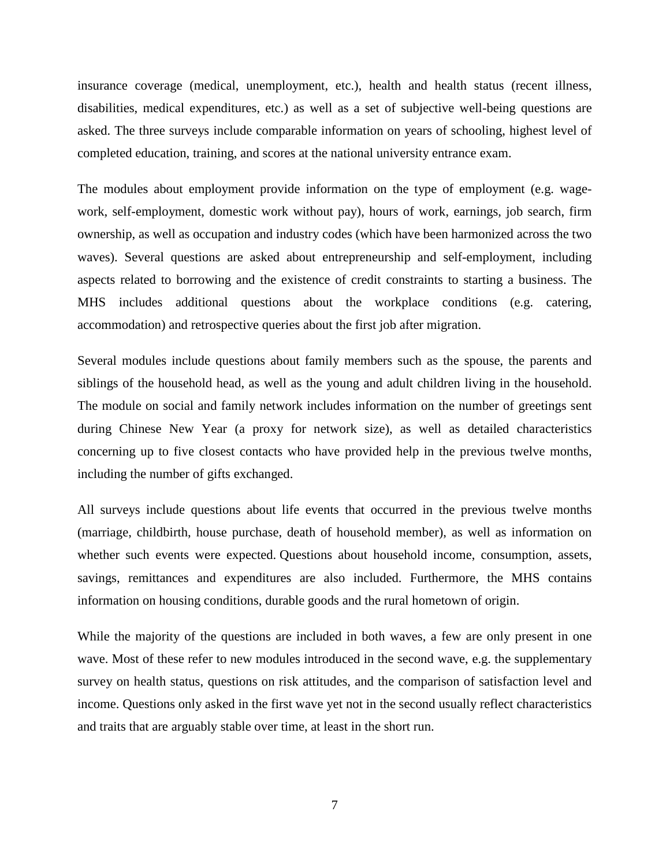<span id="page-9-0"></span>insurance coverage (medical, unemployment, etc.), health and health status (recent illness, disabilities, medical expenditures, etc.) as well as a set of subjective well-being questions are asked. The three surveys include comparable information on years of schooling, highest level of completed education, training, and scores at the national university entrance exam.

<span id="page-9-4"></span><span id="page-9-3"></span><span id="page-9-2"></span><span id="page-9-1"></span>The modules about employment provide information on the type of employment (e.g. wagework, self-employment, domestic work without pay), hours of work, earnings, job search, firm ownership, as well as occupation and industry codes (which have been harmonized across the two waves). Several questions are asked about entrepreneurship and self-employment, including aspects related to borrowing and the existence of credit constraints to starting a business. The MHS includes additional questions about the workplace conditions (e.g. catering, accommodation) and retrospective queries about the first job after migration.

Several modules include questions about family members such as the spouse, the parents and siblings of the household head, as well as the young and adult children living in the household. The module on social and family network includes information on the number of greetings sent during Chinese New Year (a proxy for network size), as well as detailed characteristics concerning up to five closest contacts who have provided help in the previous twelve months, including the number of gifts exchanged.

All surveys include questions about life events that occurred in the previous twelve months (marriage, childbirth, house purchase, death of household member), as well as information on whether such events were expected. Questions about household income, consumption, assets, savings, remittances and expenditures are also included. Furthermore, the MHS contains information on housing conditions, durable goods and the rural hometown of origin.

While the majority of the questions are included in both waves, a few are only present in one wave. Most of these refer to new modules introduced in the second wave, e.g. the supplementary survey on health status, questions on risk attitudes, and the comparison of satisfaction level and income. Questions only asked in the first wave yet not in the second usually reflect characteristics and traits that are arguably stable over time, at least in the short run.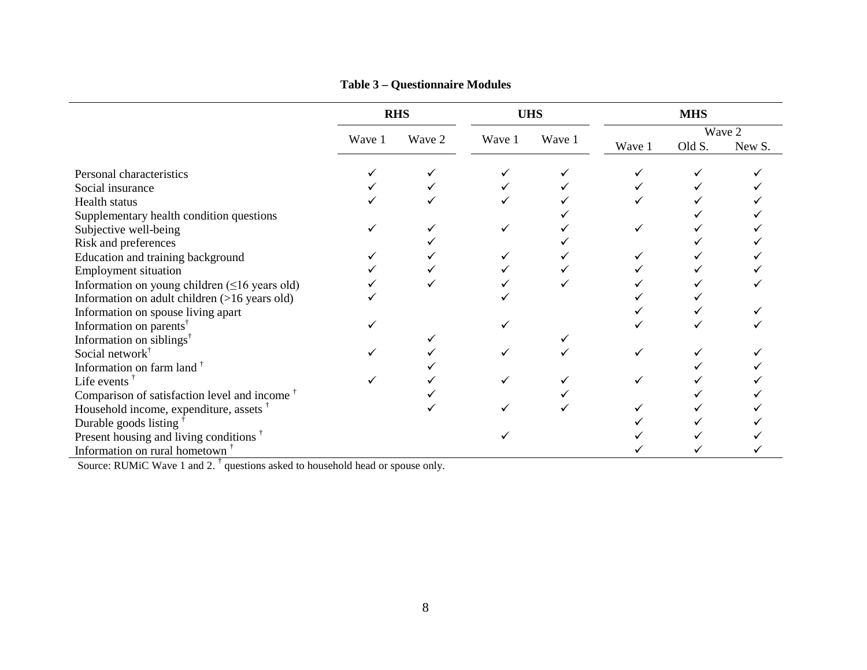<span id="page-10-0"></span>

|                                                          |        | <b>RHS</b> |        | <b>UHS</b> |        | <b>MHS</b> |        |
|----------------------------------------------------------|--------|------------|--------|------------|--------|------------|--------|
|                                                          | Wave 1 | Wave 2     | Wave 1 | Wave 1     |        |            | Wave 2 |
|                                                          |        |            |        |            | Wave 1 | Old S.     | New S. |
| Personal characteristics                                 |        |            |        |            |        |            |        |
| Social insurance                                         |        |            |        |            |        |            |        |
| Health status                                            |        |            |        |            |        |            |        |
| Supplementary health condition questions                 |        |            |        |            |        |            |        |
| Subjective well-being                                    |        |            |        |            |        |            |        |
| Risk and preferences                                     |        |            |        |            |        |            |        |
| Education and training background                        |        |            |        |            |        |            |        |
| <b>Employment situation</b>                              |        |            |        |            |        |            |        |
| Information on young children $(\leq 16$ years old)      |        |            |        |            |        |            |        |
| Information on adult children (>16 years old)            |        |            |        |            |        |            |        |
| Information on spouse living apart                       |        |            |        |            |        |            |        |
| Information on parents <sup>†</sup>                      |        |            |        |            |        |            |        |
| Information on siblings <sup><math>\dagger</math></sup>  |        |            |        |            |        |            |        |
| Social network <sup>†</sup>                              |        |            |        |            |        |            |        |
| Information on farm land <sup>†</sup>                    |        |            |        |            |        |            |        |
| Life events $\dagger$                                    |        |            |        |            |        |            |        |
| Comparison of satisfaction level and income <sup>†</sup> |        |            |        |            |        |            |        |
| Household income, expenditure, assets <sup>†</sup>       |        |            |        |            |        |            |        |
| Durable goods listing                                    |        |            |        |            |        |            |        |
| Present housing and living conditions <sup>1</sup>       |        |            |        |            |        |            |        |
| Information on rural hometown                            |        |            |        |            |        |            |        |

**Table 3 – Questionnaire Modules**

Source: RUMiC Wave 1 and 2. † questions asked to household head or spouse only.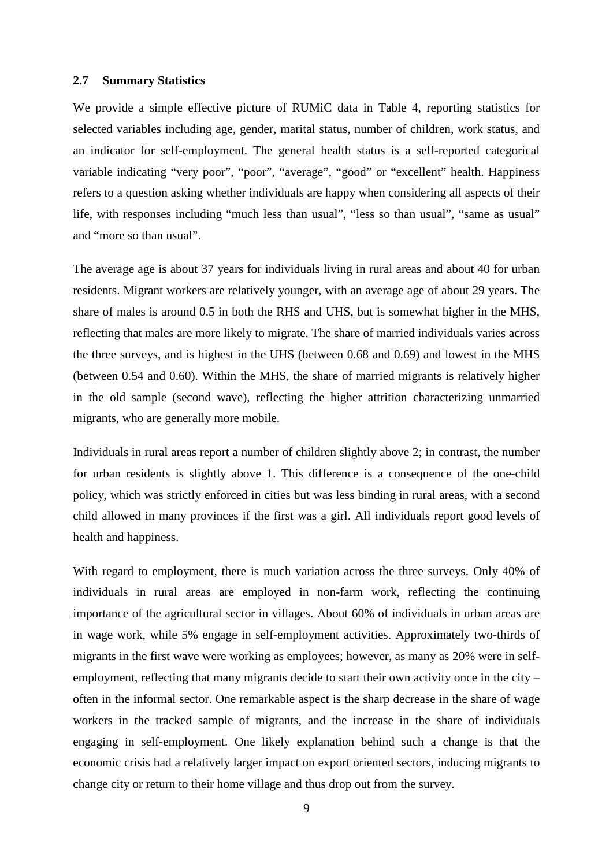#### **2.7 Summary Statistics**

We provide a simple effective picture of RUMiC data in Table 4, reporting statistics for selected variables including age, gender, marital status, number of children, work status, and an indicator for self-employment. The general health status is a self-reported categorical variable indicating "very poor", "poor", "average", "good" or "excellent" health. Happiness refers to a question asking whether individuals are happy when considering all aspects of their life, with responses including "much less than usual", "less so than usual", "same as usual" and "more so than usual".

The average age is about 37 years for individuals living in rural areas and about 40 for urban residents. Migrant workers are relatively younger, with an average age of about 29 years. The share of males is around 0.5 in both the RHS and UHS, but is somewhat higher in the MHS, reflecting that males are more likely to migrate. The share of married individuals varies across the three surveys, and is highest in the UHS (between 0.68 and 0.69) and lowest in the MHS (between 0.54 and 0.60). Within the MHS, the share of married migrants is relatively higher in the old sample (second wave), reflecting the higher attrition characterizing unmarried migrants, who are generally more mobile.

Individuals in rural areas report a number of children slightly above 2; in contrast, the number for urban residents is slightly above 1. This difference is a consequence of the one-child policy, which was strictly enforced in cities but was less binding in rural areas, with a second child allowed in many provinces if the first was a girl. All individuals report good levels of health and happiness.

With regard to employment, there is much variation across the three surveys. Only 40% of individuals in rural areas are employed in non-farm work, reflecting the continuing importance of the agricultural sector in villages. About 60% of individuals in urban areas are in wage work, while 5% engage in self-employment activities. Approximately two-thirds of migrants in the first wave were working as employees; however, as many as 20% were in selfemployment, reflecting that many migrants decide to start their own activity once in the city – often in the informal sector. One remarkable aspect is the sharp decrease in the share of wage workers in the tracked sample of migrants, and the increase in the share of individuals engaging in self-employment. One likely explanation behind such a change is that the economic crisis had a relatively larger impact on export oriented sectors, inducing migrants to change city or return to their home village and thus drop out from the survey.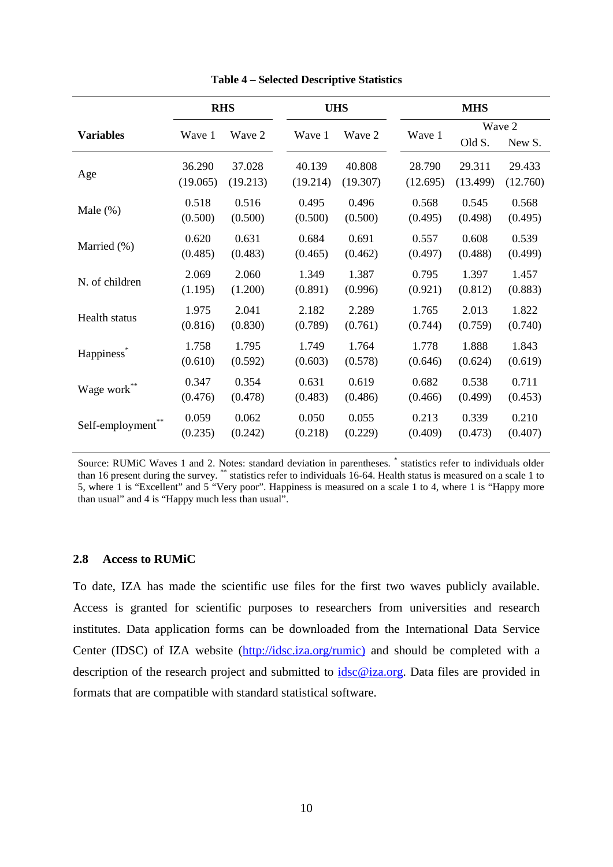|                        |          | <b>RHS</b> |          | <b>UHS</b> |          | <b>MHS</b> |          |
|------------------------|----------|------------|----------|------------|----------|------------|----------|
| <b>Variables</b>       | Wave 1   | Wave 2     | Wave 1   | Wave 2     | Wave 1   |            | Wave 2   |
|                        |          |            |          |            |          | Old S.     | New S.   |
| Age                    | 36.290   | 37.028     | 40.139   | 40.808     | 28.790   | 29.311     | 29.433   |
|                        | (19.065) | (19.213)   | (19.214) | (19.307)   | (12.695) | (13.499)   | (12.760) |
| Male $(\%)$            | 0.518    | 0.516      | 0.495    | 0.496      | 0.568    | 0.545      | 0.568    |
|                        | (0.500)  | (0.500)    | (0.500)  | (0.500)    | (0.495)  | (0.498)    | (0.495)  |
| Married (%)            | 0.620    | 0.631      | 0.684    | 0.691      | 0.557    | 0.608      | 0.539    |
|                        | (0.485)  | (0.483)    | (0.465)  | (0.462)    | (0.497)  | (0.488)    | (0.499)  |
| N. of children         | 2.069    | 2.060      | 1.349    | 1.387      | 0.795    | 1.397      | 1.457    |
|                        | (1.195)  | (1.200)    | (0.891)  | (0.996)    | (0.921)  | (0.812)    | (0.883)  |
| Health status          | 1.975    | 2.041      | 2.182    | 2.289      | 1.765    | 2.013      | 1.822    |
|                        | (0.816)  | (0.830)    | (0.789)  | (0.761)    | (0.744)  | (0.759)    | (0.740)  |
| Happiness <sup>®</sup> | 1.758    | 1.795      | 1.749    | 1.764      | 1.778    | 1.888      | 1.843    |
|                        | (0.610)  | (0.592)    | (0.603)  | (0.578)    | (0.646)  | (0.624)    | (0.619)  |
| Wage work**            | 0.347    | 0.354      | 0.631    | 0.619      | 0.682    | 0.538      | 0.711    |
|                        | (0.476)  | (0.478)    | (0.483)  | (0.486)    | (0.466)  | (0.499)    | (0.453)  |
| Self-employment        | 0.059    | 0.062      | 0.050    | 0.055      | 0.213    | 0.339      | 0.210    |
|                        | (0.235)  | (0.242)    | (0.218)  | (0.229)    | (0.409)  | (0.473)    | (0.407)  |

**Table 4 – Selected Descriptive Statistics**

Source: RUMiC Waves 1 and 2. Notes: standard deviation in parentheses. \* statistics refer to individuals older than 16 present during the survey. \*\* statistics refer to individuals 16-64. Health status is measured on a scale 1 to 5, where 1 is "Excellent" and 5 "Very poor". Happiness is measured on a scale 1 to 4, where 1 is "Happy more than usual" and 4 is "Happy much less than usual".

### **2.8 Access to RUMiC**

To date, IZA has made the scientific use files for the first two waves publicly available. Access is granted for scientific purposes to researchers from universities and research institutes. Data application forms can be downloaded from the International Data Service Center (IDSC) of IZA website [\(http://idsc.iza.org/rumic\)](http://idsc.iza.org/rumic) and should be completed with a description of the research project and submitted to [idsc@iza.org.](mailto:idsc@iza.org) Data files are provided in formats that are compatible with standard statistical software.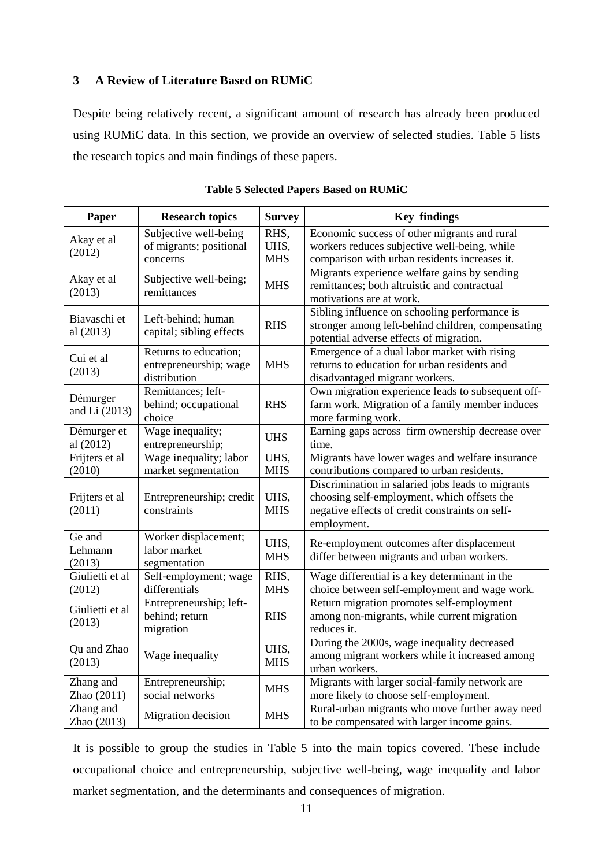### **3 A Review of Literature Based on RUMiC**

Despite being relatively recent, a significant amount of research has already been produced using RUMiC data. In this section, we provide an overview of selected studies. [Table 5](#page-13-0) lists the research topics and main findings of these papers.

<span id="page-13-0"></span>

| Paper                       | <b>Research topics</b>                                          | <b>Survey</b>              | <b>Key findings</b>                                                                                                                                                |
|-----------------------------|-----------------------------------------------------------------|----------------------------|--------------------------------------------------------------------------------------------------------------------------------------------------------------------|
| Akay et al<br>(2012)        | Subjective well-being<br>of migrants; positional<br>concerns    | RHS,<br>UHS,<br><b>MHS</b> | Economic success of other migrants and rural<br>workers reduces subjective well-being, while<br>comparison with urban residents increases it.                      |
| Akay et al<br>(2013)        | Subjective well-being;<br>remittances                           | <b>MHS</b>                 | Migrants experience welfare gains by sending<br>remittances; both altruistic and contractual<br>motivations are at work.                                           |
| Biavaschi et<br>al (2013)   | Left-behind; human<br>capital; sibling effects                  | <b>RHS</b>                 | Sibling influence on schooling performance is<br>stronger among left-behind children, compensating<br>potential adverse effects of migration.                      |
| Cui et al<br>(2013)         | Returns to education;<br>entrepreneurship; wage<br>distribution | <b>MHS</b>                 | Emergence of a dual labor market with rising<br>returns to education for urban residents and<br>disadvantaged migrant workers.                                     |
| Démurger<br>and Li (2013)   | Remittances; left-<br>behind; occupational<br>choice            | <b>RHS</b>                 | Own migration experience leads to subsequent off-<br>farm work. Migration of a family member induces<br>more farming work.                                         |
| Démurger et<br>al (2012)    | Wage inequality;<br>entrepreneurship;                           | <b>UHS</b>                 | Earning gaps across firm ownership decrease over<br>time.                                                                                                          |
| Frijters et al<br>(2010)    | Wage inequality; labor<br>market segmentation                   | UHS,<br><b>MHS</b>         | Migrants have lower wages and welfare insurance<br>contributions compared to urban residents.                                                                      |
| Frijters et al<br>(2011)    | Entrepreneurship; credit<br>constraints                         | UHS,<br><b>MHS</b>         | Discrimination in salaried jobs leads to migrants<br>choosing self-employment, which offsets the<br>negative effects of credit constraints on self-<br>employment. |
| Ge and<br>Lehmann<br>(2013) | Worker displacement;<br>labor market<br>segmentation            | UHS,<br><b>MHS</b>         | Re-employment outcomes after displacement<br>differ between migrants and urban workers.                                                                            |
| Giulietti et al<br>(2012)   | Self-employment; wage<br>differentials                          | RHS,<br><b>MHS</b>         | Wage differential is a key determinant in the<br>choice between self-employment and wage work.                                                                     |
| Giulietti et al<br>(2013)   | Entrepreneurship; left-<br>behind; return<br>migration          | <b>RHS</b>                 | Return migration promotes self-employment<br>among non-migrants, while current migration<br>reduces it.                                                            |
| Qu and Zhao<br>(2013)       | Wage inequality                                                 | UHS,<br><b>MHS</b>         | During the 2000s, wage inequality decreased<br>among migrant workers while it increased among<br>urban workers.                                                    |
| Zhang and<br>Zhao (2011)    | Entrepreneurship;<br>social networks                            | <b>MHS</b>                 | Migrants with larger social-family network are<br>more likely to choose self-employment.                                                                           |
| Zhang and<br>Zhao (2013)    | Migration decision                                              | <b>MHS</b>                 | Rural-urban migrants who move further away need<br>to be compensated with larger income gains.                                                                     |

| <b>Table 5 Selected Papers Based on RUMiC</b> |
|-----------------------------------------------|
|-----------------------------------------------|

It is possible to group the studies in [Table 5](#page-13-0) into the main topics covered. These include occupational choice and entrepreneurship, subjective well-being, wage inequality and labor market segmentation, and the determinants and consequences of migration.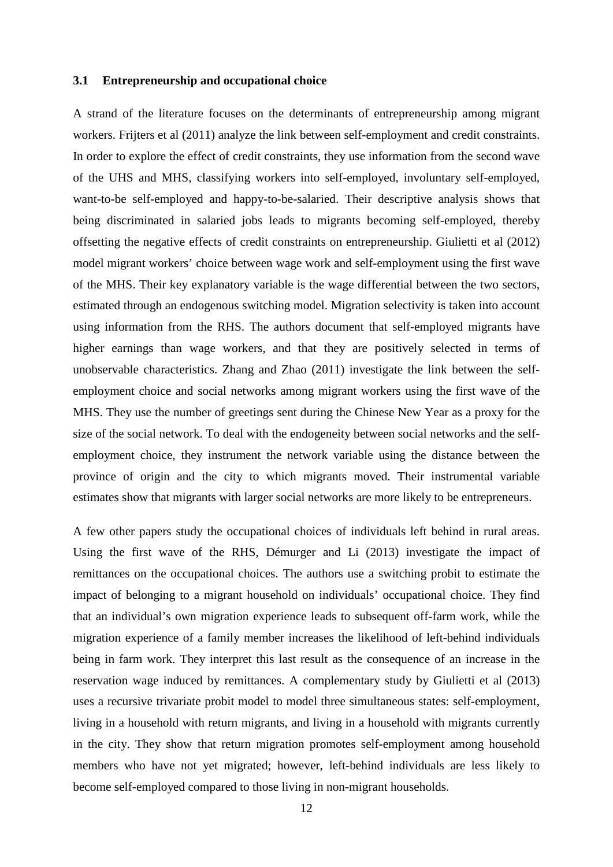#### **3.1 Entrepreneurship and occupational choice**

A strand of the literature focuses on the determinants of entrepreneurship among migrant workers. Frijters et al (2011) analyze the link between self-employment and credit constraints. In order to explore the effect of credit constraints, they use information from the second wave of the UHS and MHS, classifying workers into self-employed, involuntary self-employed, want-to-be self-employed and happy-to-be-salaried. Their descriptive analysis shows that being discriminated in salaried jobs leads to migrants becoming self-employed, thereby offsetting the negative effects of credit constraints on entrepreneurship. Giulietti et al (2012) model migrant workers' choice between wage work and self-employment using the first wave of the MHS. Their key explanatory variable is the wage differential between the two sectors, estimated through an endogenous switching model. Migration selectivity is taken into account using information from the RHS. The authors document that self-employed migrants have higher earnings than wage workers, and that they are positively selected in terms of unobservable characteristics. Zhang and Zhao (2011) investigate the link between the selfemployment choice and social networks among migrant workers using the first wave of the MHS. They use the number of greetings sent during the Chinese New Year as a proxy for the size of the social network. To deal with the endogeneity between social networks and the selfemployment choice, they instrument the network variable using the distance between the province of origin and the city to which migrants moved. Their instrumental variable estimates show that migrants with larger social networks are more likely to be entrepreneurs.

A few other papers study the occupational choices of individuals left behind in rural areas. Using the first wave of the RHS, Démurger and Li (2013) investigate the impact of remittances on the occupational choices. The authors use a switching probit to estimate the impact of belonging to a migrant household on individuals' occupational choice. They find that an individual's own migration experience leads to subsequent off-farm work, while the migration experience of a family member increases the likelihood of left-behind individuals being in farm work. They interpret this last result as the consequence of an increase in the reservation wage induced by remittances. A complementary study by Giulietti et al (2013) uses a recursive trivariate probit model to model three simultaneous states: self-employment, living in a household with return migrants, and living in a household with migrants currently in the city. They show that return migration promotes self-employment among household members who have not yet migrated; however, left-behind individuals are less likely to become self-employed compared to those living in non-migrant households.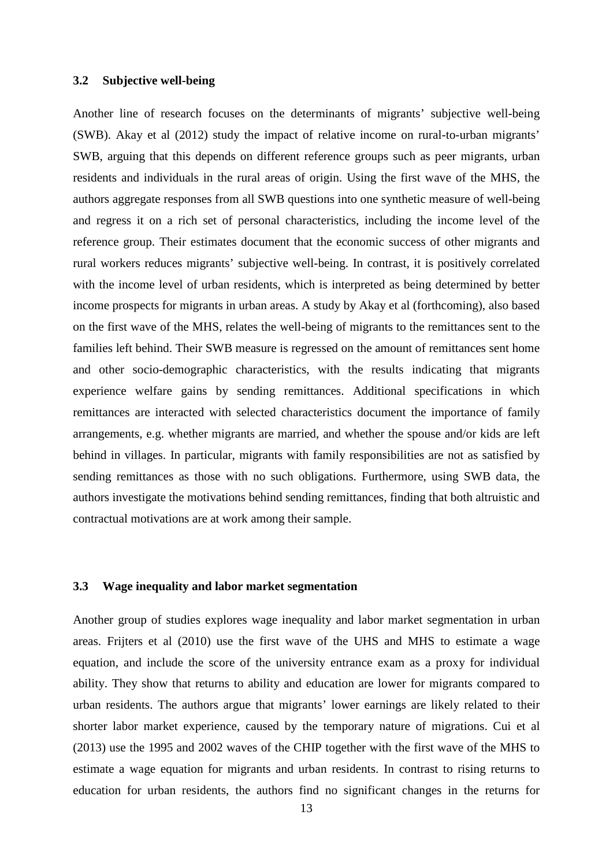#### **3.2 Subjective well-being**

Another line of research focuses on the determinants of migrants' subjective well-being (SWB). Akay et al (2012) study the impact of relative income on rural-to-urban migrants' SWB, arguing that this depends on different reference groups such as peer migrants, urban residents and individuals in the rural areas of origin. Using the first wave of the MHS, the authors aggregate responses from all SWB questions into one synthetic measure of well-being and regress it on a rich set of personal characteristics, including the income level of the reference group. Their estimates document that the economic success of other migrants and rural workers reduces migrants' subjective well-being. In contrast, it is positively correlated with the income level of urban residents, which is interpreted as being determined by better income prospects for migrants in urban areas. A study by Akay et al (forthcoming), also based on the first wave of the MHS, relates the well-being of migrants to the remittances sent to the families left behind. Their SWB measure is regressed on the amount of remittances sent home and other socio-demographic characteristics, with the results indicating that migrants experience welfare gains by sending remittances. Additional specifications in which remittances are interacted with selected characteristics document the importance of family arrangements, e.g. whether migrants are married, and whether the spouse and/or kids are left behind in villages. In particular, migrants with family responsibilities are not as satisfied by sending remittances as those with no such obligations. Furthermore, using SWB data, the authors investigate the motivations behind sending remittances, finding that both altruistic and contractual motivations are at work among their sample.

#### **3.3 Wage inequality and labor market segmentation**

Another group of studies explores wage inequality and labor market segmentation in urban areas. Frijters et al (2010) use the first wave of the UHS and MHS to estimate a wage equation, and include the score of the university entrance exam as a proxy for individual ability. They show that returns to ability and education are lower for migrants compared to urban residents. The authors argue that migrants' lower earnings are likely related to their shorter labor market experience, caused by the temporary nature of migrations. Cui et al (2013) use the 1995 and 2002 waves of the CHIP together with the first wave of the MHS to estimate a wage equation for migrants and urban residents. In contrast to rising returns to education for urban residents, the authors find no significant changes in the returns for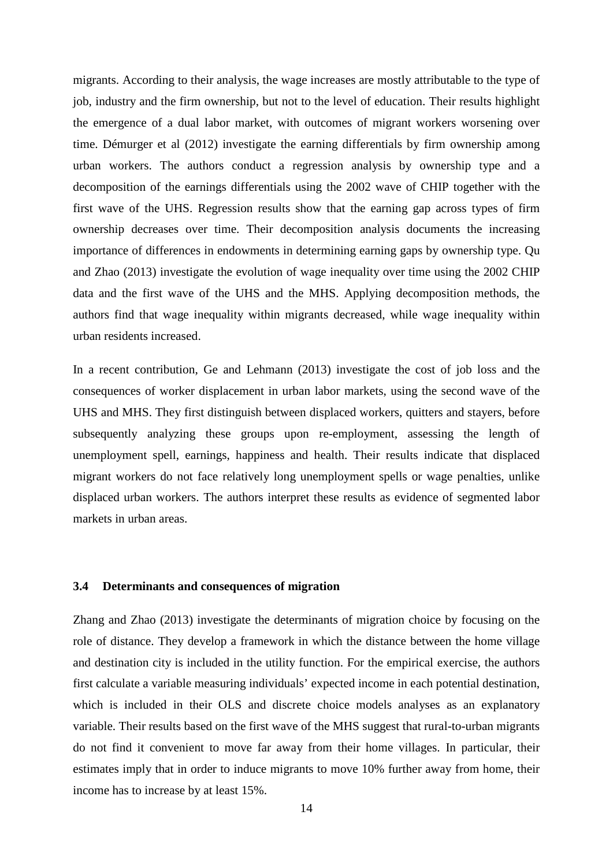migrants. According to their analysis, the wage increases are mostly attributable to the type of job, industry and the firm ownership, but not to the level of education. Their results highlight the emergence of a dual labor market, with outcomes of migrant workers worsening over time. Démurger et al (2012) investigate the earning differentials by firm ownership among urban workers. The authors conduct a regression analysis by ownership type and a decomposition of the earnings differentials using the 2002 wave of CHIP together with the first wave of the UHS. Regression results show that the earning gap across types of firm ownership decreases over time. Their decomposition analysis documents the increasing importance of differences in endowments in determining earning gaps by ownership type. Qu and Zhao (2013) investigate the evolution of wage inequality over time using the 2002 CHIP data and the first wave of the UHS and the MHS. Applying decomposition methods, the authors find that wage inequality within migrants decreased, while wage inequality within urban residents increased.

In a recent contribution, Ge and Lehmann (2013) investigate the cost of job loss and the consequences of worker displacement in urban labor markets, using the second wave of the UHS and MHS. They first distinguish between displaced workers, quitters and stayers, before subsequently analyzing these groups upon re-employment, assessing the length of unemployment spell, earnings, happiness and health. Their results indicate that displaced migrant workers do not face relatively long unemployment spells or wage penalties, unlike displaced urban workers. The authors interpret these results as evidence of segmented labor markets in urban areas.

#### **3.4 Determinants and consequences of migration**

Zhang and Zhao (2013) investigate the determinants of migration choice by focusing on the role of distance. They develop a framework in which the distance between the home village and destination city is included in the utility function. For the empirical exercise, the authors first calculate a variable measuring individuals' expected income in each potential destination, which is included in their OLS and discrete choice models analyses as an explanatory variable. Their results based on the first wave of the MHS suggest that rural-to-urban migrants do not find it convenient to move far away from their home villages. In particular, their estimates imply that in order to induce migrants to move 10% further away from home, their income has to increase by at least 15%.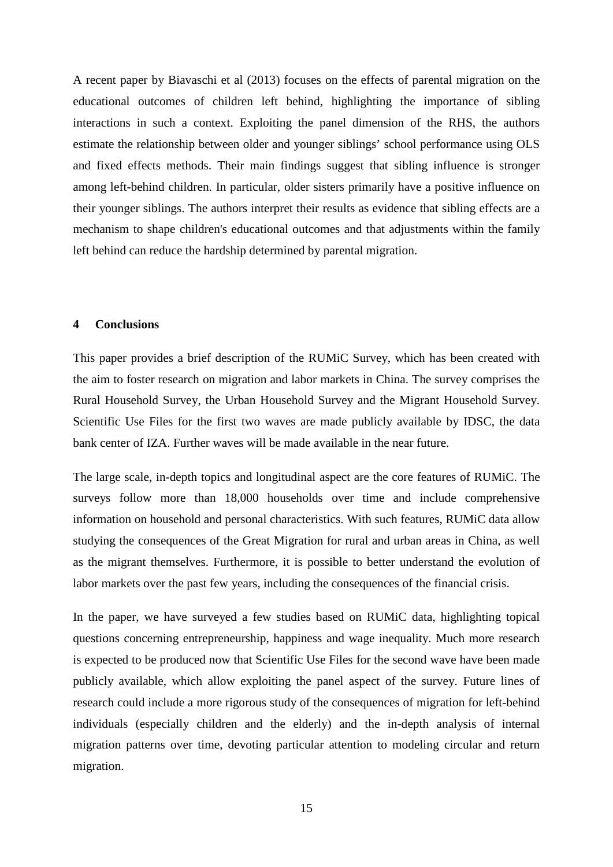A recent paper by Biavaschi et al (2013) focuses on the effects of parental migration on the educational outcomes of children left behind, highlighting the importance of sibling interactions in such a context. Exploiting the panel dimension of the RHS, the authors estimate the relationship between older and younger siblings' school performance using OLS and fixed effects methods. Their main findings suggest that sibling influence is stronger among left-behind children. In particular, older sisters primarily have a positive influence on their younger siblings. The authors interpret their results as evidence that sibling effects are a mechanism to shape children's educational outcomes and that adjustments within the family left behind can reduce the hardship determined by parental migration.

### **4 Conclusions**

This paper provides a brief description of the RUMiC Survey, which has been created with the aim to foster research on migration and labor markets in China. The survey comprises the Rural Household Survey, the Urban Household Survey and the Migrant Household Survey. Scientific Use Files for the first two waves are made publicly available by IDSC, the data bank center of IZA. Further waves will be made available in the near future.

The large scale, in-depth topics and longitudinal aspect are the core features of RUMiC. The surveys follow more than 18,000 households over time and include comprehensive information on household and personal characteristics. With such features, RUMiC data allow studying the consequences of the Great Migration for rural and urban areas in China, as well as the migrant themselves. Furthermore, it is possible to better understand the evolution of labor markets over the past few years, including the consequences of the financial crisis.

In the paper, we have surveyed a few studies based on RUMiC data, highlighting topical questions concerning entrepreneurship, happiness and wage inequality. Much more research is expected to be produced now that Scientific Use Files for the second wave have been made publicly available, which allow exploiting the panel aspect of the survey. Future lines of research could include a more rigorous study of the consequences of migration for left-behind individuals (especially children and the elderly) and the in-depth analysis of internal migration patterns over time, devoting particular attention to modeling circular and return migration.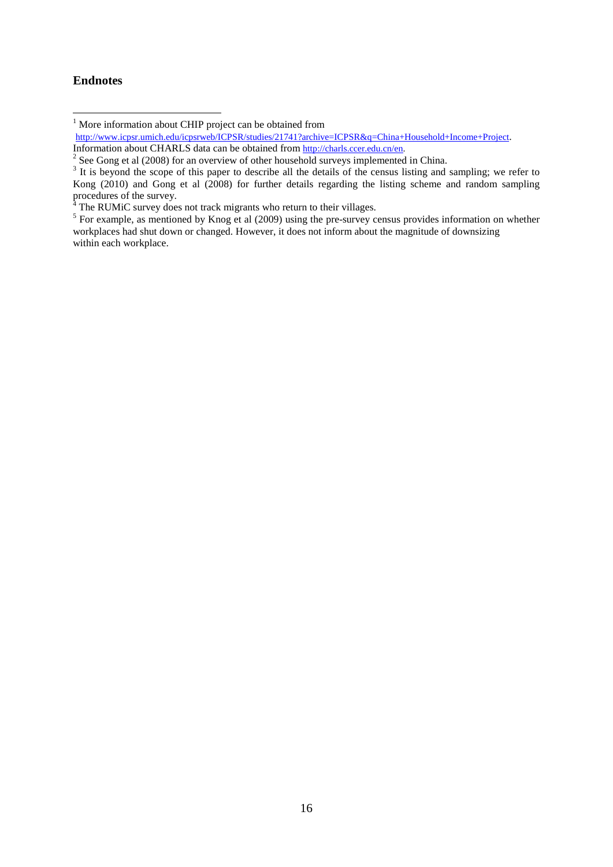### **Endnotes**

<sup>&</sup>lt;sup>1</sup> More information about CHIP project can be obtained from

[http://www.icpsr.umich.edu/icpsrweb/ICPSR/studies/21741?archive=ICPSR&q=China+Household+Income+Project.](http://www.icpsr.umich.edu/icpsrweb/ICPSR/studies/21741?archive=ICPSR&q=China+Household+Income+Project)<br>Information about CHARLS data can be obtained from http://charls.ccer.edu.cn/en.

 $\frac{2}{3}$  See Gong et al (2008) for an overview of other household surveys implemented in China.<br> $\frac{3}{3}$  It is beyond the scope of this paper to describe all the details of the census listing and sampling; we refer to Kong (2010) and Gong et al (2008) for further details regarding the listing scheme and random sampling procedures of the survey.<br><sup>4</sup> The RUMiC survey does not track migrants who return to their villages.

 $5$  For example, as mentioned by Knog et al (2009) using the pre-survey census provides information on whether workplaces had shut down or changed. However, it does not inform about the magnitude of downsizing within each workplace.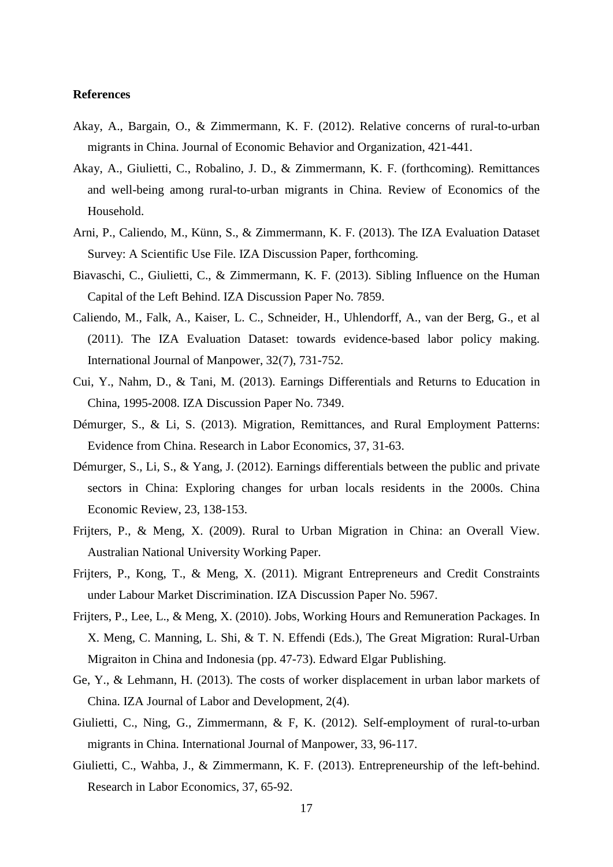#### **References**

- Akay, A., Bargain, O., & Zimmermann, K. F. (2012). Relative concerns of rural-to-urban migrants in China. Journal of Economic Behavior and Organization, 421-441.
- Akay, A., Giulietti, C., Robalino, J. D., & Zimmermann, K. F. (forthcoming). Remittances and well-being among rural-to-urban migrants in China. Review of Economics of the Household.
- Arni, P., Caliendo, M., Künn, S., & Zimmermann, K. F. (2013). The IZA Evaluation Dataset Survey: A Scientific Use File. IZA Discussion Paper, forthcoming.
- Biavaschi, C., Giulietti, C., & Zimmermann, K. F. (2013). Sibling Influence on the Human Capital of the Left Behind. IZA Discussion Paper No. 7859.
- Caliendo, M., Falk, A., Kaiser, L. C., Schneider, H., Uhlendorff, A., van der Berg, G., et al (2011). The IZA Evaluation Dataset: towards evidence-based labor policy making. International Journal of Manpower, 32(7), 731-752.
- Cui, Y., Nahm, D., & Tani, M. (2013). Earnings Differentials and Returns to Education in China, 1995-2008. IZA Discussion Paper No. 7349.
- Démurger, S., & Li, S. (2013). Migration, Remittances, and Rural Employment Patterns: Evidence from China. Research in Labor Economics, 37, 31-63.
- Démurger, S., Li, S., & Yang, J. (2012). Earnings differentials between the public and private sectors in China: Exploring changes for urban locals residents in the 2000s. China Economic Review, 23, 138-153.
- Frijters, P., & Meng, X. (2009). Rural to Urban Migration in China: an Overall View. Australian National University Working Paper.
- Frijters, P., Kong, T., & Meng, X. (2011). Migrant Entrepreneurs and Credit Constraints under Labour Market Discrimination. IZA Discussion Paper No. 5967.
- Frijters, P., Lee, L., & Meng, X. (2010). Jobs, Working Hours and Remuneration Packages. In X. Meng, C. Manning, L. Shi, & T. N. Effendi (Eds.), The Great Migration: Rural-Urban Migraiton in China and Indonesia (pp. 47-73). Edward Elgar Publishing.
- Ge, Y., & Lehmann, H. (2013). The costs of worker displacement in urban labor markets of China. IZA Journal of Labor and Development, 2(4).
- Giulietti, C., Ning, G., Zimmermann, & F, K. (2012). Self-employment of rural-to-urban migrants in China. International Journal of Manpower, 33, 96-117.
- Giulietti, C., Wahba, J., & Zimmermann, K. F. (2013). Entrepreneurship of the left-behind. Research in Labor Economics, 37, 65-92.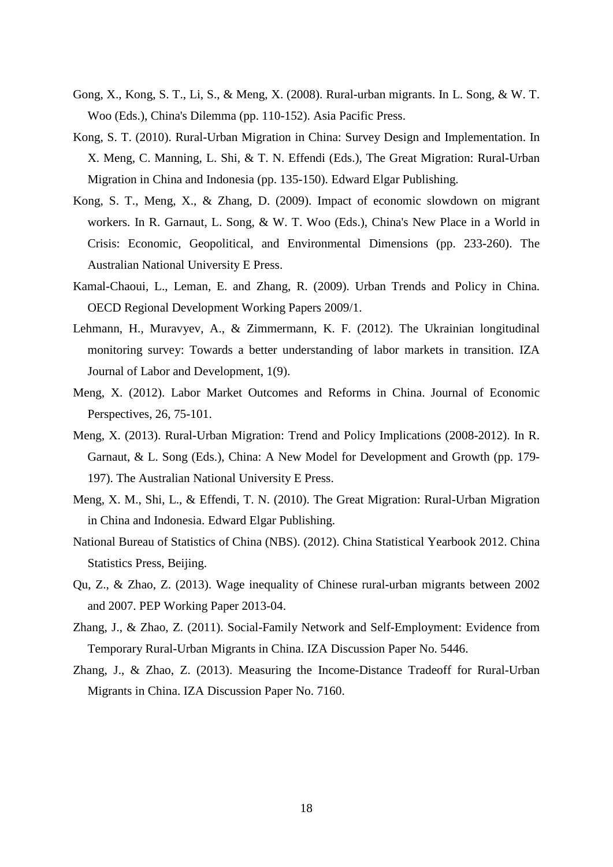- Gong, X., Kong, S. T., Li, S., & Meng, X. (2008). Rural-urban migrants. In L. Song, & W. T. Woo (Eds.), China's Dilemma (pp. 110-152). Asia Pacific Press.
- Kong, S. T. (2010). Rural-Urban Migration in China: Survey Design and Implementation. In X. Meng, C. Manning, L. Shi, & T. N. Effendi (Eds.), The Great Migration: Rural-Urban Migration in China and Indonesia (pp. 135-150). Edward Elgar Publishing.
- Kong, S. T., Meng, X., & Zhang, D. (2009). Impact of economic slowdown on migrant workers. In R. Garnaut, L. Song, & W. T. Woo (Eds.), China's New Place in a World in Crisis: Economic, Geopolitical, and Environmental Dimensions (pp. 233-260). The Australian National University E Press.
- Kamal-Chaoui, L., Leman, E. and Zhang, R. (2009). Urban Trends and Policy in China. OECD Regional Development Working Papers 2009/1.
- Lehmann, H., Muravyev, A., & Zimmermann, K. F. (2012). The Ukrainian longitudinal monitoring survey: Towards a better understanding of labor markets in transition. IZA Journal of Labor and Development, 1(9).
- Meng, X. (2012). Labor Market Outcomes and Reforms in China. Journal of Economic Perspectives, 26, 75-101.
- Meng, X. (2013). Rural-Urban Migration: Trend and Policy Implications (2008-2012). In R. Garnaut, & L. Song (Eds.), China: A New Model for Development and Growth (pp. 179- 197). The Australian National University E Press.
- Meng, X. M., Shi, L., & Effendi, T. N. (2010). The Great Migration: Rural-Urban Migration in China and Indonesia. Edward Elgar Publishing.
- National Bureau of Statistics of China (NBS). (2012). China Statistical Yearbook 2012. China Statistics Press, Beijing.
- Qu, Z., & Zhao, Z. (2013). Wage inequality of Chinese rural-urban migrants between 2002 and 2007. PEP Working Paper 2013-04.
- Zhang, J., & Zhao, Z. (2011). Social-Family Network and Self-Employment: Evidence from Temporary Rural-Urban Migrants in China. IZA Discussion Paper No. 5446.
- Zhang, J., & Zhao, Z. (2013). Measuring the Income-Distance Tradeoff for Rural-Urban Migrants in China. IZA Discussion Paper No. 7160.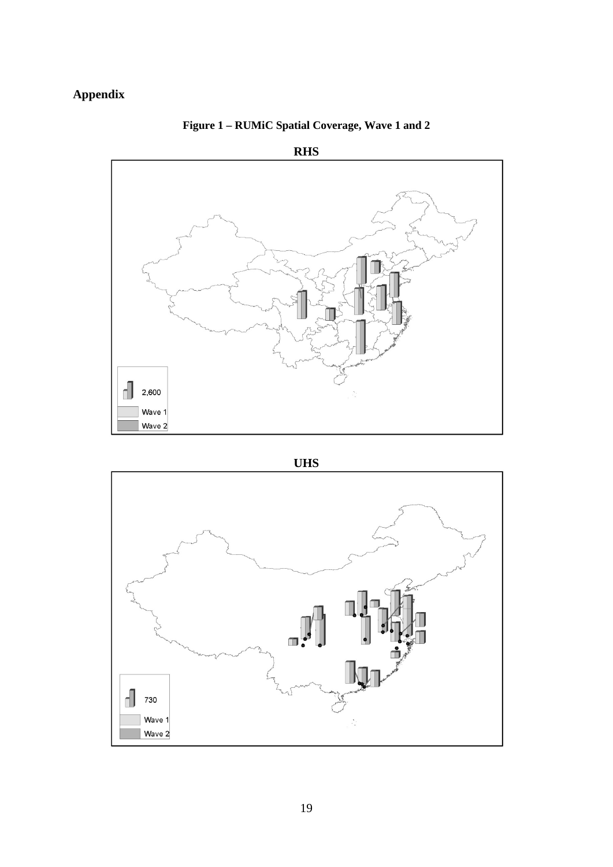# **Appendix**



**Figure 1 – RUMiC Spatial Coverage, Wave 1 and 2**